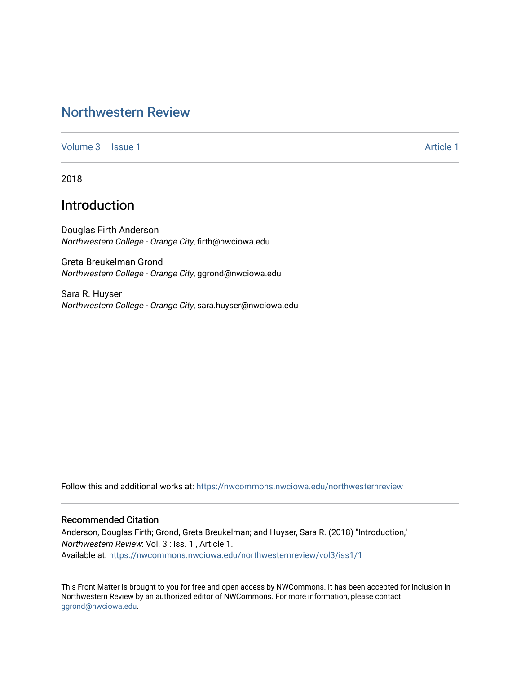# [Northwestern Review](https://nwcommons.nwciowa.edu/northwesternreview)

[Volume 3](https://nwcommons.nwciowa.edu/northwesternreview/vol3) | [Issue 1](https://nwcommons.nwciowa.edu/northwesternreview/vol3/iss1) Article 1

2018

## Introduction

Douglas Firth Anderson Northwestern College - Orange City, firth@nwciowa.edu

Greta Breukelman Grond Northwestern College - Orange City, ggrond@nwciowa.edu

Sara R. Huyser Northwestern College - Orange City, sara.huyser@nwciowa.edu

Follow this and additional works at: [https://nwcommons.nwciowa.edu/northwesternreview](https://nwcommons.nwciowa.edu/northwesternreview?utm_source=nwcommons.nwciowa.edu%2Fnorthwesternreview%2Fvol3%2Fiss1%2F1&utm_medium=PDF&utm_campaign=PDFCoverPages) 

### Recommended Citation

Anderson, Douglas Firth; Grond, Greta Breukelman; and Huyser, Sara R. (2018) "Introduction," Northwestern Review: Vol. 3 : Iss. 1 , Article 1. Available at: [https://nwcommons.nwciowa.edu/northwesternreview/vol3/iss1/1](https://nwcommons.nwciowa.edu/northwesternreview/vol3/iss1/1?utm_source=nwcommons.nwciowa.edu%2Fnorthwesternreview%2Fvol3%2Fiss1%2F1&utm_medium=PDF&utm_campaign=PDFCoverPages)

This Front Matter is brought to you for free and open access by NWCommons. It has been accepted for inclusion in Northwestern Review by an authorized editor of NWCommons. For more information, please contact [ggrond@nwciowa.edu.](mailto:ggrond@nwciowa.edu)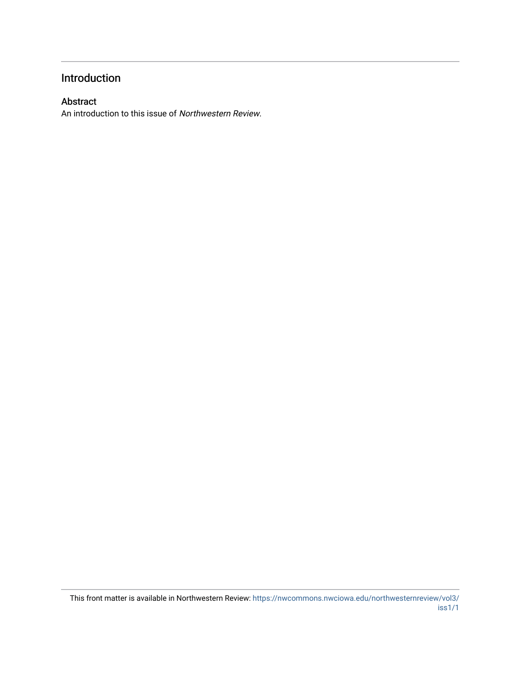## Introduction

### Abstract

An introduction to this issue of Northwestern Review.

This front matter is available in Northwestern Review: [https://nwcommons.nwciowa.edu/northwesternreview/vol3/](https://nwcommons.nwciowa.edu/northwesternreview/vol3/iss1/1) [iss1/1](https://nwcommons.nwciowa.edu/northwesternreview/vol3/iss1/1)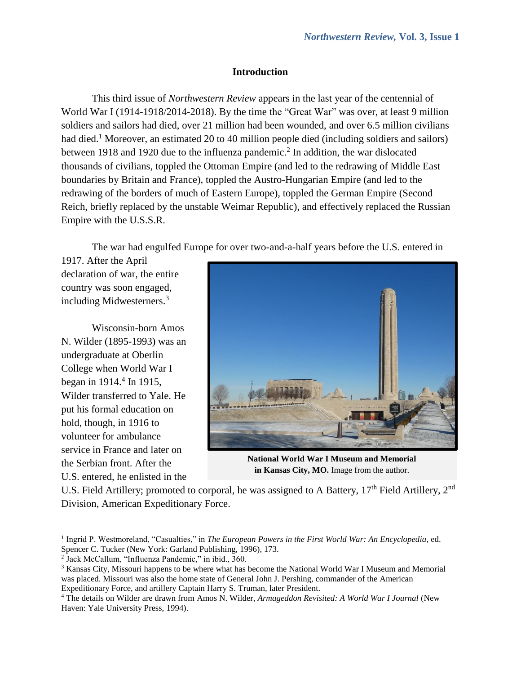### **Introduction**

This third issue of *Northwestern Review* appears in the last year of the centennial of World War I (1914-1918/2014-2018). By the time the "Great War" was over, at least 9 million soldiers and sailors had died, over 21 million had been wounded, and over 6.5 million civilians had died.<sup>1</sup> Moreover, an estimated 20 to 40 million people died (including soldiers and sailors) between 1918 and 1920 due to the influenza pandemic. 2 In addition, the war dislocated thousands of civilians, toppled the Ottoman Empire (and led to the redrawing of Middle East boundaries by Britain and France), toppled the Austro-Hungarian Empire (and led to the redrawing of the borders of much of Eastern Europe), toppled the German Empire (Second Reich, briefly replaced by the unstable Weimar Republic), and effectively replaced the Russian Empire with the U.S.S.R.

The war had engulfed Europe for over two-and-a-half years before the U.S. entered in

1917. After the April declaration of war, the entire country was soon engaged, including Midwesterners. 3

Wisconsin-born Amos N. Wilder (1895-1993) was an undergraduate at Oberlin College when World War I began in 1914.<sup>4</sup> In 1915, Wilder transferred to Yale. He put his formal education on hold, though, in 1916 to volunteer for ambulance service in France and later on the Serbian front. After the U.S. entered, he enlisted in the

 $\overline{a}$ 



**National World War I Museum and Memorial** in Kansas City, MO. Image from the author.

U.S. Field Artillery; promoted to corporal, he was assigned to A Battery, 17<sup>th</sup> Field Artillery, 2<sup>nd</sup> Division, American Expeditionary Force.

<sup>&</sup>lt;sup>1</sup> Ingrid P. Westmoreland, "Casualties," in *The European Powers in the First World War: An Encyclopedia*, ed. Spencer C. Tucker (New York: Garland Publishing, 1996), 173.

<sup>2</sup> Jack McCallum, "Influenza Pandemic," in ibid., 360.

<sup>3</sup> Kansas City, Missouri happens to be where what has become the National World War I Museum and Memorial was placed. Missouri was also the home state of General John J. Pershing, commander of the American Expeditionary Force, and artillery Captain Harry S. Truman, later President.

<sup>4</sup> The details on Wilder are drawn from Amos N. Wilder, *Armageddon Revisited: A World War I Journal* (New Haven: Yale University Press, 1994).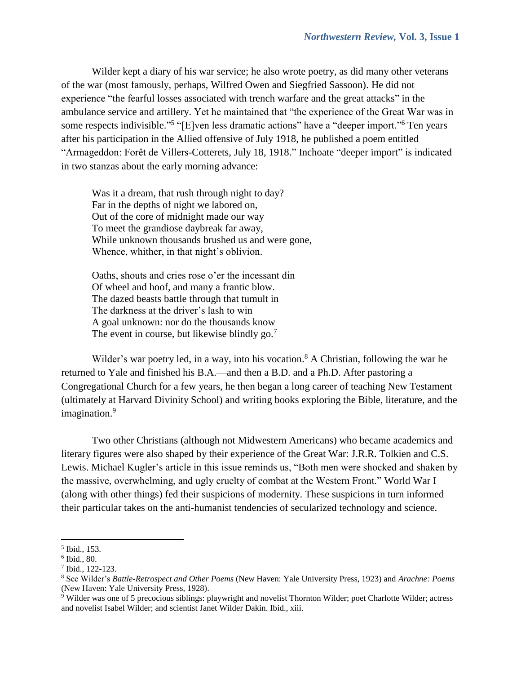Wilder kept a diary of his war service; he also wrote poetry, as did many other veterans of the war (most famously, perhaps, Wilfred Owen and Siegfried Sassoon). He did not experience "the fearful losses associated with trench warfare and the great attacks" in the ambulance service and artillery. Yet he maintained that "the experience of the Great War was in some respects indivisible."<sup>5</sup> "[E]ven less dramatic actions" have a "deeper import."<sup>6</sup> Ten years after his participation in the Allied offensive of July 1918, he published a poem entitled "Armageddon: Forêt de Villers-Cotterets, July 18, 1918." Inchoate "deeper import" is indicated in two stanzas about the early morning advance:

Was it a dream, that rush through night to day? Far in the depths of night we labored on, Out of the core of midnight made our way To meet the grandiose daybreak far away, While unknown thousands brushed us and were gone, Whence, whither, in that night's oblivion.

Oaths, shouts and cries rose o'er the incessant din Of wheel and hoof, and many a frantic blow. The dazed beasts battle through that tumult in The darkness at the driver's lash to win A goal unknown: nor do the thousands know The event in course, but likewise blindly go.<sup>7</sup>

Wilder's war poetry led, in a way, into his vocation.<sup>8</sup> A Christian, following the war he returned to Yale and finished his B.A.—and then a B.D. and a Ph.D. After pastoring a Congregational Church for a few years, he then began a long career of teaching New Testament (ultimately at Harvard Divinity School) and writing books exploring the Bible, literature, and the imagination. 9

Two other Christians (although not Midwestern Americans) who became academics and literary figures were also shaped by their experience of the Great War: J.R.R. Tolkien and C.S. Lewis. Michael Kugler's article in this issue reminds us, "Both men were shocked and shaken by the massive, overwhelming, and ugly cruelty of combat at the Western Front." World War I (along with other things) fed their suspicions of modernity. These suspicions in turn informed their particular takes on the anti-humanist tendencies of secularized technology and science.

 $\overline{\phantom{a}}$ 5 Ibid., 153.

<sup>6</sup> Ibid., 80.

<sup>7</sup> Ibid., 122-123.

<sup>8</sup> See Wilder's *Battle-Retrospect and Other Poems* (New Haven: Yale University Press, 1923) and *Arachne: Poems* (New Haven: Yale University Press, 1928).

<sup>9</sup> Wilder was one of 5 precocious siblings: playwright and novelist Thornton Wilder; poet Charlotte Wilder; actress and novelist Isabel Wilder; and scientist Janet Wilder Dakin. Ibid., xiii.